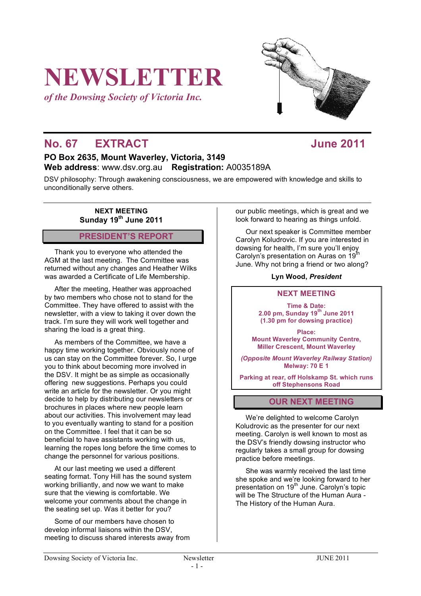# **NEWSLETTER**

*of the Dowsing Society of Victoria Inc.*

## **No. 67 EXTRACT June 2011**

#### **PO Box 2635, Mount Waverley, Victoria, 3149 Web address**: www.dsv.org.au **Registration:** A0035189A

DSV philosophy: Through awakening consciousness, we are empowered with knowledge and skills to unconditionally serve others.

> **NEXT MEETING Sunday 19th June 2011**

#### **PRESIDENT'S REPORT**

Thank you to everyone who attended the AGM at the last meeting. The Committee was returned without any changes and Heather Wilks was awarded a Certificate of Life Membership.

After the meeting, Heather was approached by two members who chose not to stand for the Committee. They have offered to assist with the newsletter, with a view to taking it over down the track. I'm sure they will work well together and sharing the load is a great thing.

As members of the Committee, we have a happy time working together. Obviously none of us can stay on the Committee forever. So, I urge you to think about becoming more involved in the DSV. It might be as simple as occasionally offering new suggestions. Perhaps you could write an article for the newsletter. Or you might decide to help by distributing our newsletters or brochures in places where new people learn about our activities. This involvement may lead to you eventually wanting to stand for a position on the Committee. I feel that it can be so beneficial to have assistants working with us, learning the ropes long before the time comes to change the personnel for various positions.

At our last meeting we used a different seating format. Tony Hill has the sound system working brilliantly, and now we want to make sure that the viewing is comfortable. We welcome your comments about the change in the seating set up. Was it better for you?

Some of our members have chosen to develop informal liaisons within the DSV, meeting to discuss shared interests away from our public meetings, which is great and we look forward to hearing as things unfold.

Our next speaker is Committee member Carolyn Koludrovic. If you are interested in dowsing for health, I'm sure you'll enjoy Carolyn's presentation on Auras on 19<sup>th</sup> June. Why not bring a friend or two along?

#### **Lyn Wood,** *President*

#### **NEXT MEETING**

**Time & Date: 2.00 pm, Sunday 19th June 2011 (1.30 pm for dowsing practice)**

**Place: Mount Waverley Community Centre, Miller Crescent, Mount Waverley**

*(Opposite Mount Waverley Railway Station)* **Melway: 70 E 1**

**Parking at rear, off Holskamp St. which runs off Stephensons Road**

#### **OUR NEXT MEETING**

We're delighted to welcome Carolyn Koludrovic as the presenter for our next meeting. Carolyn is well known to most as the DSV's friendly dowsing instructor who regularly takes a small group for dowsing practice before meetings.

She was warmly received the last time she spoke and we're looking forward to her presentation on 19<sup>th</sup> June. Carolyn's topic will be The Structure of the Human Aura - The History of the Human Aura.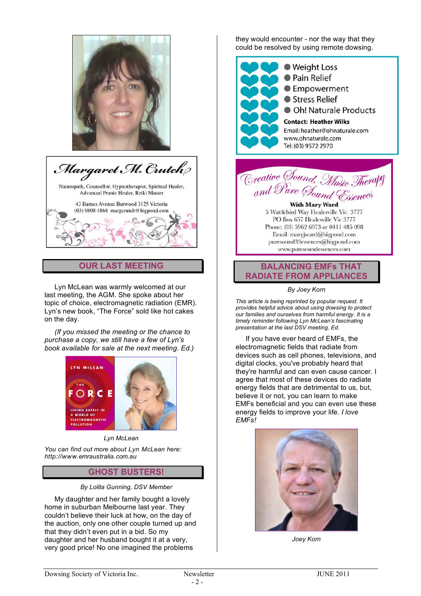



#### **OUR LAST MEETING**

Lyn McLean was warmly welcomed at our last meeting, the AGM. She spoke about her topic of choice, electromagnetic radiation (EMR). Lyn's new book, "The Force" sold like hot cakes on the day.

*(If you missed the meeting or the chance to purchase a copy, we still have a few of Lyn's book available for sale at the next meeting. Ed.)*



#### *Lyn McLean*

*You can find out more about Lyn McLean here: http://www.emraustralia.com.au*

#### **GHOST BUSTERS!**

#### *By Lolita Gunning, DSV Member*

My daughter and her family bought a lovely home in suburban Melbourne last year. They couldn't believe their luck at how, on the day of the auction, only one other couple turned up and that they didn't even put in a bid. So my daughter and her husband bought it at a very, very good price! No one imagined the problems

they would encounter - nor the way that they could be resolved by using remote dowsing.





With Mary Ward 5 Wattlebird Way Healesville Vic 3777 PO Box 657 Healesville Vic 3777 Phone: (03) 5962 6973 or 0411 485 098 Email: maryjward@bigpond.com puresound33essences@bigpond.com www.puresoundessences.com



*By Joey Korn*

*This article is being reprinted by popular request. It provides helpful advice about using dowsing to protect our families and ourselves from harmful energy. It is a timely reminder following Lyn McLean's fascinating presentation at the last DSV meeting. Ed.*

If you have ever heard of EMFs, the electromagnetic fields that radiate from devices such as cell phones, televisions, and digital clocks, you've probably heard that they're harmful and can even cause cancer. I agree that most of these devices do radiate energy fields that are detrimental to us, but, believe it or not, you can learn to make EMFs beneficial and you can even use these energy fields to improve your life. *I love EMFs!*



*Joey Korn*